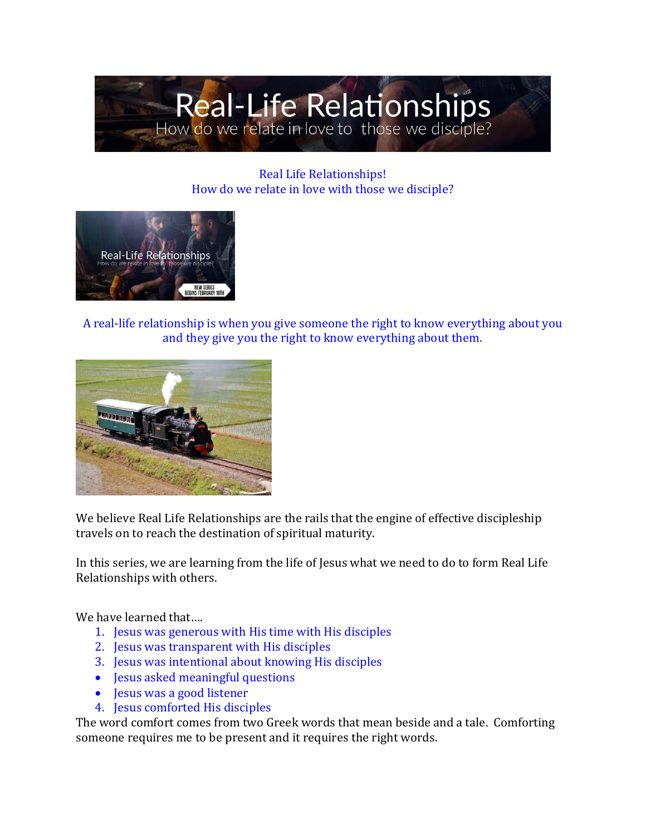

Real Life Relationships! How do we relate in love with those we disciple?



A real-life relationship is when you give someone the right to know everything about you and they give you the right to know everything about them.



We believe Real Life Relationships are the rails that the engine of effective discipleship travels on to reach the destination of spiritual maturity.

In this series, we are learning from the life of Jesus what we need to do to form Real Life Relationships with others.

We have learned that....

- 1. Jesus was generous with His time with His disciples
- 2. Jesus was transparent with His disciples
- 3. Jesus was intentional about knowing His disciples
- Jesus asked meaningful questions
- Jesus was a good listener
- 4. Jesus comforted His disciples

The word comfort comes from two Greek words that mean beside and a tale. Comforting someone requires me to be present and it requires the right words.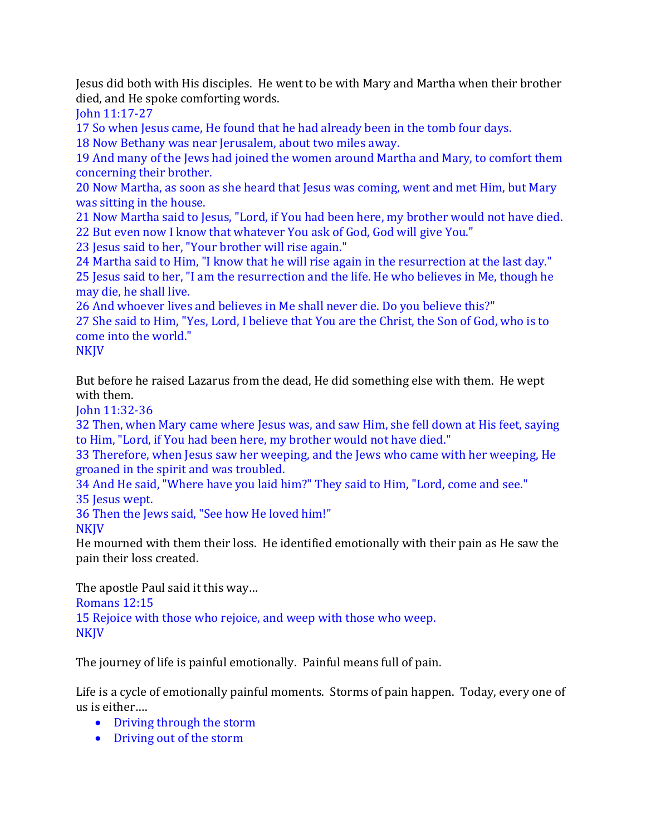Jesus did both with His disciples. He went to be with Mary and Martha when their brother died, and He spoke comforting words.

John 11:17-27

17 So when Jesus came, He found that he had already been in the tomb four days.

18 Now Bethany was near Jerusalem, about two miles away.

19 And many of the Jews had joined the women around Martha and Mary, to comfort them concerning their brother.

20 Now Martha, as soon as she heard that Jesus was coming, went and met Him, but Mary was sitting in the house.

21 Now Martha said to Jesus, "Lord, if You had been here, my brother would not have died. 22 But even now I know that whatever You ask of God, God will give You."

23 Jesus said to her, "Your brother will rise again."

24 Martha said to Him, "I know that he will rise again in the resurrection at the last day." 25 Jesus said to her, "I am the resurrection and the life. He who believes in Me, though he may die, he shall live.

26 And whoever lives and believes in Me shall never die. Do you believe this?" 27 She said to Him, "Yes, Lord, I believe that You are the Christ, the Son of God, who is to come into the world."

**NKJV** 

But before he raised Lazarus from the dead, He did something else with them. He wept with them.

John 11:32-36

32 Then, when Mary came where Jesus was, and saw Him, she fell down at His feet, saying to Him, "Lord, if You had been here, my brother would not have died."

33 Therefore, when Jesus saw her weeping, and the Jews who came with her weeping, He groaned in the spirit and was troubled.

34 And He said, "Where have you laid him?" They said to Him, "Lord, come and see." 35 Jesus wept.

36 Then the Jews said, "See how He loved him!"

**NKIV** 

He mourned with them their loss. He identified emotionally with their pain as He saw the pain their loss created.

The apostle Paul said it this way… Romans 12:15 15 Rejoice with those who rejoice, and weep with those who weep. **NKJV** 

The journey of life is painful emotionally. Painful means full of pain.

Life is a cycle of emotionally painful moments. Storms of pain happen. Today, every one of us is either….

- Driving through the storm
- Driving out of the storm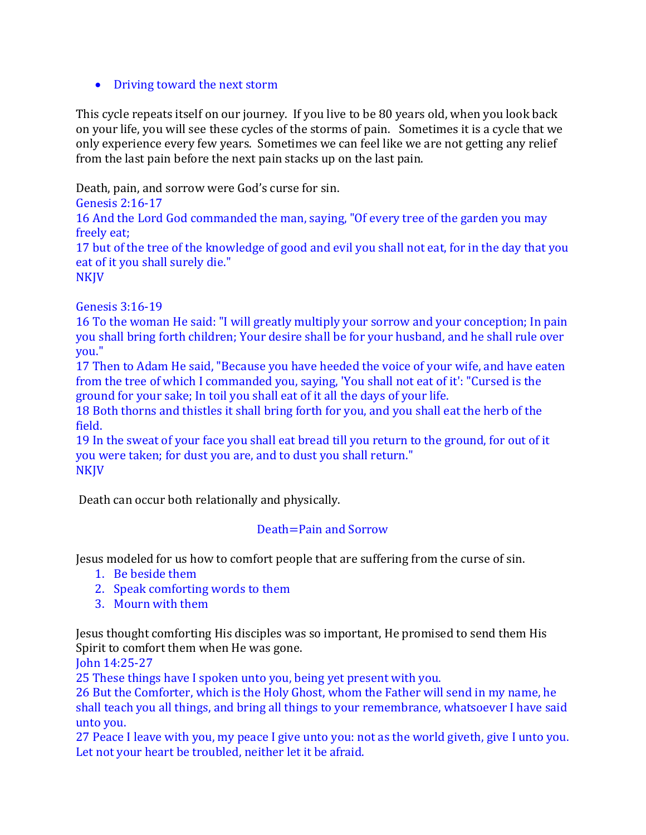## • Driving toward the next storm

This cycle repeats itself on our journey. If you live to be 80 years old, when you look back on your life, you will see these cycles of the storms of pain. Sometimes it is a cycle that we only experience every few years. Sometimes we can feel like we are not getting any relief from the last pain before the next pain stacks up on the last pain.

Death, pain, and sorrow were God's curse for sin.

Genesis 2:16-17

16 And the Lord God commanded the man, saying, "Of every tree of the garden you may freely eat;

17 but of the tree of the knowledge of good and evil you shall not eat, for in the day that you eat of it you shall surely die." **NKJV** 

Genesis 3:16-19

16 To the woman He said: "I will greatly multiply your sorrow and your conception; In pain you shall bring forth children; Your desire shall be for your husband, and he shall rule over you."

17 Then to Adam He said, "Because you have heeded the voice of your wife, and have eaten from the tree of which I commanded you, saying, 'You shall not eat of it': "Cursed is the ground for your sake; In toil you shall eat of it all the days of your life.

18 Both thorns and thistles it shall bring forth for you, and you shall eat the herb of the field.

19 In the sweat of your face you shall eat bread till you return to the ground, for out of it you were taken; for dust you are, and to dust you shall return." **NKJV** 

Death can occur both relationally and physically.

## Death=Pain and Sorrow

Jesus modeled for us how to comfort people that are suffering from the curse of sin.

- 1. Be beside them
- 2. Speak comforting words to them
- 3. Mourn with them

Jesus thought comforting His disciples was so important, He promised to send them His Spirit to comfort them when He was gone.

John 14:25-27

25 These things have I spoken unto you, being yet present with you.

26 But the Comforter, which is the Holy Ghost, whom the Father will send in my name, he shall teach you all things, and bring all things to your remembrance, whatsoever I have said unto you.

27 Peace I leave with you, my peace I give unto you: not as the world giveth, give I unto you. Let not your heart be troubled, neither let it be afraid.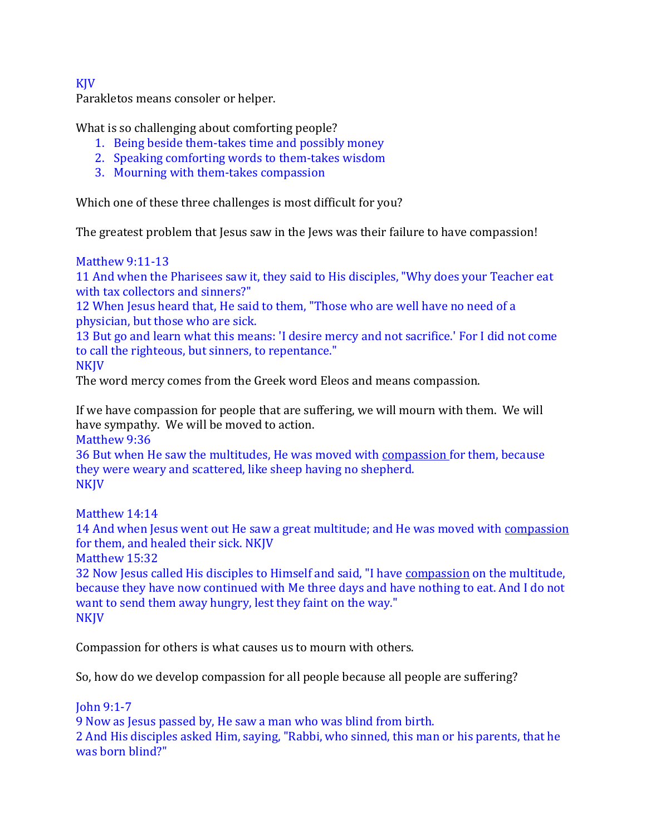KJV

Parakletos means consoler or helper.

What is so challenging about comforting people?

- 1. Being beside them-takes time and possibly money
- 2. Speaking comforting words to them-takes wisdom
- 3. Mourning with them-takes compassion

Which one of these three challenges is most difficult for you?

The greatest problem that Jesus saw in the Jews was their failure to have compassion!

Matthew 9:11-13

11 And when the Pharisees saw it, they said to His disciples, "Why does your Teacher eat with tax collectors and sinners?"

12 When Jesus heard that, He said to them, "Those who are well have no need of a physician, but those who are sick.

13 But go and learn what this means: 'I desire mercy and not sacrifice.' For I did not come to call the righteous, but sinners, to repentance."

NKJV

The word mercy comes from the Greek word Eleos and means compassion.

If we have compassion for people that are suffering, we will mourn with them. We will have sympathy. We will be moved to action.

Matthew 9:36

36 But when He saw the multitudes, He was moved with compassion for them, because they were weary and scattered, like sheep having no shepherd. NKJV

Matthew 14:14

14 And when Jesus went out He saw a great multitude; and He was moved with compassion for them, and healed their sick. NKJV

Matthew 15:32

32 Now Jesus called His disciples to Himself and said, "I have compassion on the multitude, because they have now continued with Me three days and have nothing to eat. And I do not want to send them away hungry, lest they faint on the way." NKJV

Compassion for others is what causes us to mourn with others.

So, how do we develop compassion for all people because all people are suffering?

John 9:1-7

9 Now as Jesus passed by, He saw a man who was blind from birth.

2 And His disciples asked Him, saying, "Rabbi, who sinned, this man or his parents, that he was born blind?"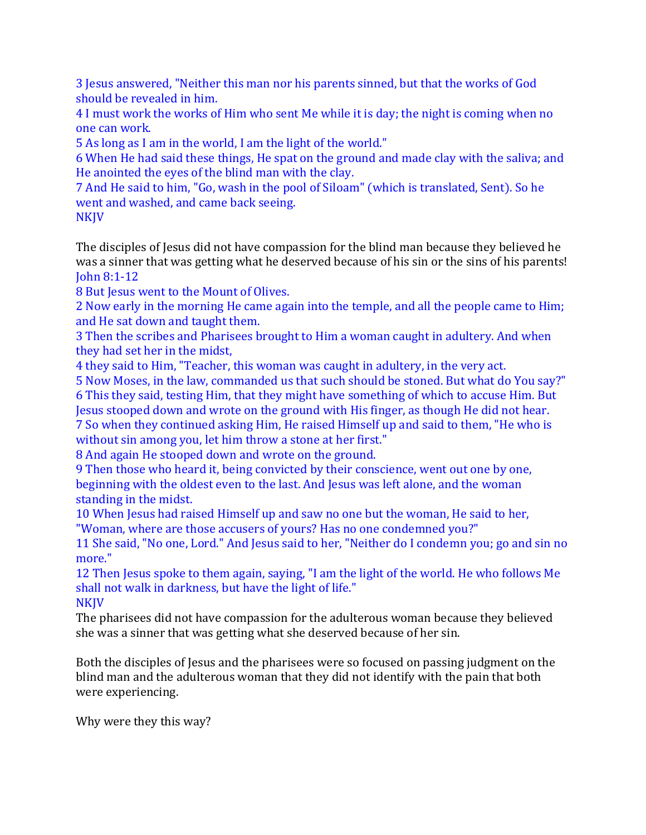3 Jesus answered, "Neither this man nor his parents sinned, but that the works of God should be revealed in him.

4 I must work the works of Him who sent Me while it is day; the night is coming when no one can work.

5 As long as I am in the world, I am the light of the world."

6 When He had said these things, He spat on the ground and made clay with the saliva; and He anointed the eyes of the blind man with the clay.

7 And He said to him, "Go, wash in the pool of Siloam" (which is translated, Sent). So he went and washed, and came back seeing.

NKJV

The disciples of Jesus did not have compassion for the blind man because they believed he was a sinner that was getting what he deserved because of his sin or the sins of his parents! John 8:1-12

8 But Jesus went to the Mount of Olives.

2 Now early in the morning He came again into the temple, and all the people came to Him; and He sat down and taught them.

3 Then the scribes and Pharisees brought to Him a woman caught in adultery. And when they had set her in the midst,

4 they said to Him, "Teacher, this woman was caught in adultery, in the very act.

5 Now Moses, in the law, commanded us that such should be stoned. But what do You say?" 6 This they said, testing Him, that they might have something of which to accuse Him. But Jesus stooped down and wrote on the ground with His finger, as though He did not hear. 7 So when they continued asking Him, He raised Himself up and said to them, "He who is

without sin among you, let him throw a stone at her first."

8 And again He stooped down and wrote on the ground.

9 Then those who heard it, being convicted by their conscience, went out one by one, beginning with the oldest even to the last. And Jesus was left alone, and the woman standing in the midst.

10 When Jesus had raised Himself up and saw no one but the woman, He said to her, "Woman, where are those accusers of yours? Has no one condemned you?"

11 She said, "No one, Lord." And Jesus said to her, "Neither do I condemn you; go and sin no more."

12 Then Jesus spoke to them again, saying, "I am the light of the world. He who follows Me shall not walk in darkness, but have the light of life."

NKJV

The pharisees did not have compassion for the adulterous woman because they believed she was a sinner that was getting what she deserved because of her sin.

Both the disciples of Jesus and the pharisees were so focused on passing judgment on the blind man and the adulterous woman that they did not identify with the pain that both were experiencing.

Why were they this way?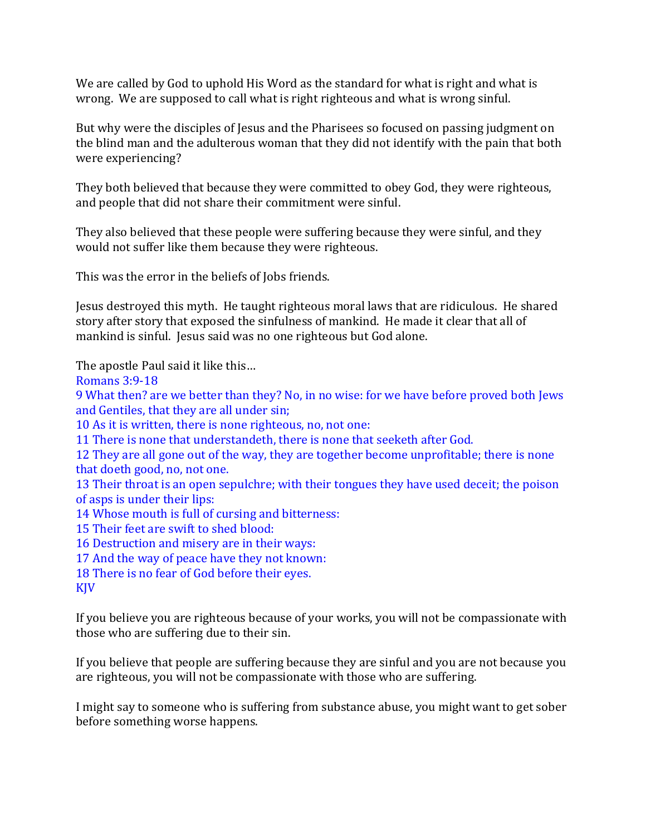We are called by God to uphold His Word as the standard for what is right and what is wrong. We are supposed to call what is right righteous and what is wrong sinful.

But why were the disciples of Jesus and the Pharisees so focused on passing judgment on the blind man and the adulterous woman that they did not identify with the pain that both were experiencing?

They both believed that because they were committed to obey God, they were righteous, and people that did not share their commitment were sinful.

They also believed that these people were suffering because they were sinful, and they would not suffer like them because they were righteous.

This was the error in the beliefs of Jobs friends.

Jesus destroyed this myth. He taught righteous moral laws that are ridiculous. He shared story after story that exposed the sinfulness of mankind. He made it clear that all of mankind is sinful. Jesus said was no one righteous but God alone.

The apostle Paul said it like this…

Romans 3:9-18

9 What then? are we better than they? No, in no wise: for we have before proved both Jews and Gentiles, that they are all under sin;

10 As it is written, there is none righteous, no, not one:

11 There is none that understandeth, there is none that seeketh after God.

12 They are all gone out of the way, they are together become unprofitable; there is none that doeth good, no, not one.

13 Their throat is an open sepulchre; with their tongues they have used deceit; the poison of asps is under their lips:

14 Whose mouth is full of cursing and bitterness:

15 Their feet are swift to shed blood:

16 Destruction and misery are in their ways:

17 And the way of peace have they not known:

18 There is no fear of God before their eyes.

KJV

If you believe you are righteous because of your works, you will not be compassionate with those who are suffering due to their sin.

If you believe that people are suffering because they are sinful and you are not because you are righteous, you will not be compassionate with those who are suffering.

I might say to someone who is suffering from substance abuse, you might want to get sober before something worse happens.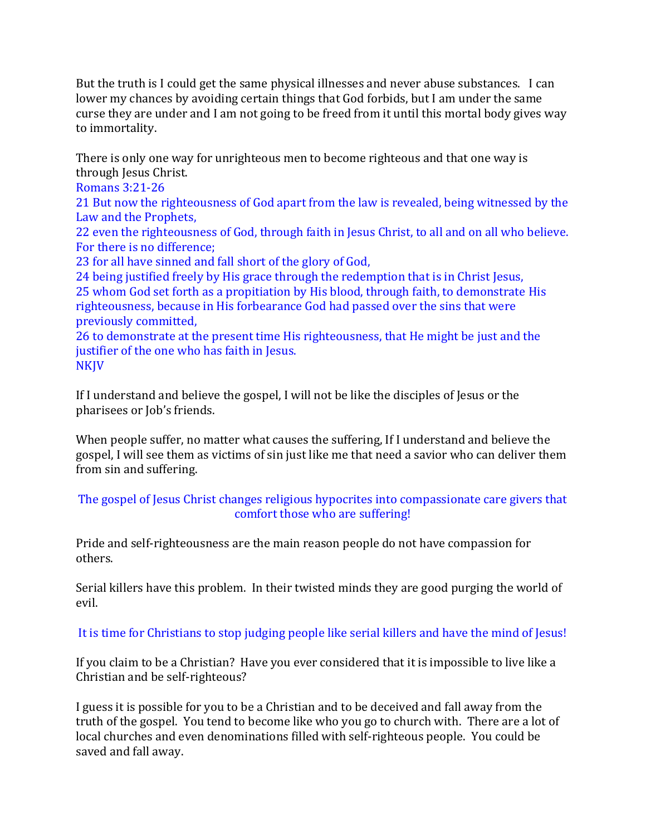But the truth is I could get the same physical illnesses and never abuse substances. I can lower my chances by avoiding certain things that God forbids, but I am under the same curse they are under and I am not going to be freed from it until this mortal body gives way to immortality.

There is only one way for unrighteous men to become righteous and that one way is through Jesus Christ.

Romans 3:21-26

21 But now the righteousness of God apart from the law is revealed, being witnessed by the Law and the Prophets,

22 even the righteousness of God, through faith in Jesus Christ, to all and on all who believe. For there is no difference;

23 for all have sinned and fall short of the glory of God,

24 being justified freely by His grace through the redemption that is in Christ Jesus, 25 whom God set forth as a propitiation by His blood, through faith, to demonstrate His righteousness, because in His forbearance God had passed over the sins that were previously committed,

26 to demonstrate at the present time His righteousness, that He might be just and the justifier of the one who has faith in Jesus. NKJV

If I understand and believe the gospel, I will not be like the disciples of Jesus or the pharisees or Job's friends.

When people suffer, no matter what causes the suffering, If I understand and believe the gospel, I will see them as victims of sin just like me that need a savior who can deliver them from sin and suffering.

## The gospel of Jesus Christ changes religious hypocrites into compassionate care givers that comfort those who are suffering!

Pride and self-righteousness are the main reason people do not have compassion for others.

Serial killers have this problem. In their twisted minds they are good purging the world of evil.

## It is time for Christians to stop judging people like serial killers and have the mind of Jesus!

If you claim to be a Christian? Have you ever considered that it is impossible to live like a Christian and be self-righteous?

I guess it is possible for you to be a Christian and to be deceived and fall away from the truth of the gospel. You tend to become like who you go to church with. There are a lot of local churches and even denominations filled with self-righteous people. You could be saved and fall away.